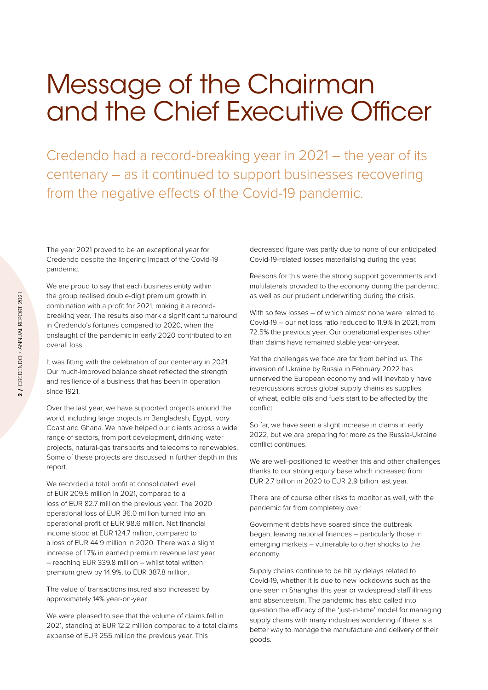## Message of the Chairman and the Chief Executive Officer

Credendo had a record-breaking year in 2021 – the year of its centenary – as it continued to support businesses recovering from the negative effects of the Covid-19 pandemic.

The year 2021 proved to be an exceptional year for Credendo despite the lingering impact of the Covid-19 pandemic.

We are proud to say that each business entity within the group realised double-digit premium growth in combination with a profit for 2021, making it a recordbreaking year. The results also mark a significant turnaround in Credendo's fortunes compared to 2020, when the onslaught of the pandemic in early 2020 contributed to an overall loss.

It was fitting with the celebration of our centenary in 2021. Our much-improved balance sheet reflected the strength and resilience of a business that has been in operation since 1921.

Over the last year, we have supported projects around the world, including large projects in Bangladesh, Egypt, Ivory Coast and Ghana. We have helped our clients across a wide range of sectors, from port development, drinking water projects, natural-gas transports and telecoms to renewables. Some of these projects are discussed in further depth in this report.

We recorded a total profit at consolidated level of EUR 209.5 million in 2021, compared to a loss of EUR 82.7 million the previous year. The 2020 operational loss of EUR 36.0 million turned into an operational profit of EUR 98.6 million. Net financial income stood at EUR 124.7 million, compared to a loss of EUR 44.9 million in 2020. There was a slight increase of 1.7% in earned premium revenue last year – reaching EUR 339.8 million – whilst total written premium grew by 14.9%, to EUR 387.8 million.

The value of transactions insured also increased by approximately 14% year-on-year.

We were pleased to see that the volume of claims fell in 2021, standing at EUR 12.2 million compared to a total claims expense of EUR 255 million the previous year. This

decreased figure was partly due to none of our anticipated Covid-19-related losses materialising during the year.

Reasons for this were the strong support governments and multilaterals provided to the economy during the pandemic, as well as our prudent underwriting during the crisis.

With so few losses – of which almost none were related to Covid-19 – our net loss ratio reduced to 11.9% in 2021, from 72.5% the previous year. Our operational expenses other than claims have remained stable year-on-year.

Yet the challenges we face are far from behind us. The invasion of Ukraine by Russia in February 2022 has unnerved the European economy and will inevitably have repercussions across global supply chains as supplies of wheat, edible oils and fuels start to be affected by the conflict.

So far, we have seen a slight increase in claims in early 2022, but we are preparing for more as the Russia-Ukraine conflict continues.

We are well-positioned to weather this and other challenges thanks to our strong equity base which increased from EUR 2.7 billion in 2020 to EUR 2.9 billion last year.

There are of course other risks to monitor as well, with the pandemic far from completely over.

Government debts have soared since the outbreak began, leaving national finances – particularly those in emerging markets – vulnerable to other shocks to the economy.

Supply chains continue to be hit by delays related to Covid-19, whether it is due to new lockdowns such as the one seen in Shanghai this year or widespread staff illness and absenteeism. The pandemic has also called into question the efficacy of the 'just-in-time' model for managing supply chains with many industries wondering if there is a better way to manage the manufacture and delivery of their goods.